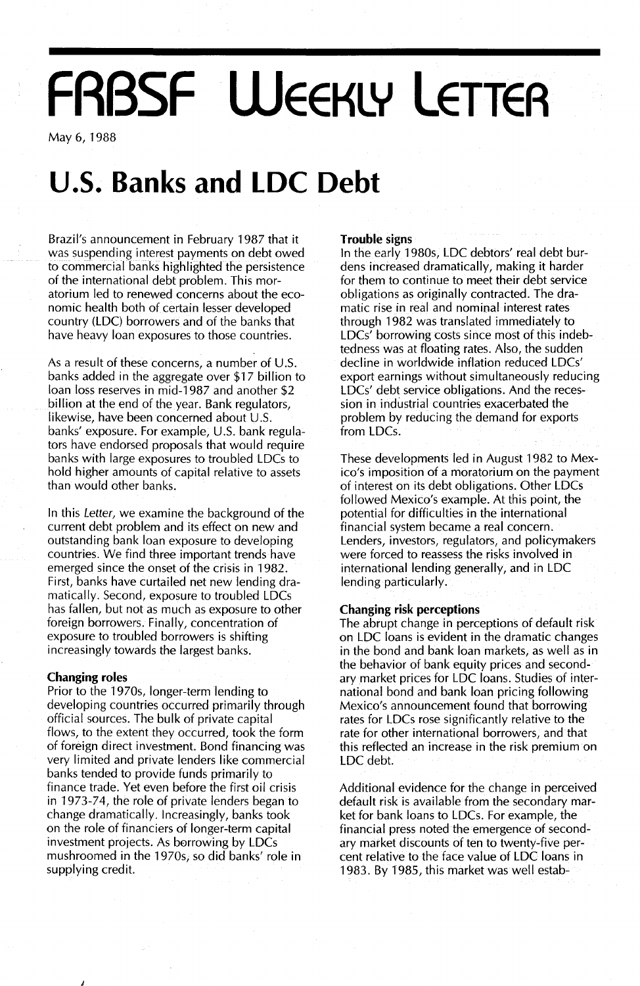# **FRBSF WEEKLY LETTER**

May 6,1988

## **U.5. Banks and LDC Debt**

Brazil's announcement in February 1987 that it was suspending interest payments on debt owed to commercial banks highlighted the persistence of the international debt problem. This moratorium led to renewed concerns about the economic health both of certain lesser developed country (LDC) borrowers and of the banks that have heavy loan exposures to those countries.

As a result of these concerns, a number of  $U.S.$ banks added in the aggregate over \$17 billion to loan loss reserves in mid-1987 and another \$2 billion at the end of the year. Bank regulators, likewise, have been concerned about  $U.S.$ banks' exposure. For example, U.S. bank regulators have endorsed proposals that would require banks with large exposures to troubled LDCs to hold higher amounts of capital relative to assets than would other banks.

In this Letter, we examine the background of the current debt problem and its effect on new and outstanding bank loan exposure to developing countries. We find three important trends have emerged since the onset of the crisis in 1982. First, banks have curtailed net new lending dramatically. Second, exposure to troubled LDCs has fallen, but not as much as exposure to other foreign borrowers. Finally, concentration of exposure to troubled borrowers is shifting increasingly towards the largest banks.

#### **Changing roles**

Prior to the 1970s, longer-term lending to developing countries occurred primarily through official sources. The bulk of private capital flows, to the extent they occurred, took the form of foreign direct investment. Bond financing was very limited and private lenders like commercial banks tended to provide funds primarily to finance trade. Yet even before the first oil crisis in 1973-74, the role of private lenders began to change dramatically. Increasingly, banks took on the role of financiers of longer-term capital investment projects. As borrowing by LDCs mushroomed in the 1970s, so did banks' role in supplying credit.

#### **Trouble signs**

In the early 1980s, LDC debtors' real debt burdens increased dramatically, making it harder for them to continue to meet their debt service obligations as originally contracted. The dramatic rise in real and nominal interest rates through 1982 was translated immediately to  $LDCs'$  borrowing costs since most of this indebtedness was at floating rates. Also, the sudden decline in worldwide inflation reduced LDCs' export earnings without simultaneously reducing LDCs' debt service obligations. And the recession in industrial countries exacerbated the problem by reducing the demand for exports from LDCs.

These developments led in August 1982 to Mexico's imposition of a moratorium on the payment of interest on its debt obligations. Other LDCs followed Mexico's example. At this point, the potential for difficulties in the international financial system became a real concern. Lenders, investors, regulators, and policymakers were forced to reassess the risks involved in international lending generally, and in LDC lending particularly.

#### **Changing risk perceptions**

The abrupt change in perceptions of default risk on LDC loans is evident in the dramatic changes in the bond and bank loan markets, as well as in the behavior of bank equity prices and secondary market prices for LDC loans. Studies of international bond and bank loan pricing following Mexico's announcement found that borrowing rates for LDCs rose significantly relative to the rate for other international borrowers, and that this reflected an increase in the risk premium on LDC debt.

Additional evidence for the change in perceived default risk is available from the secondary market for bank loans to LDCs. For example, the financial press noted the emergence of secondary market discounts of ten to twenty-five percent relative to the face value of LDC loans in 1983. By 1985, this market was well estab-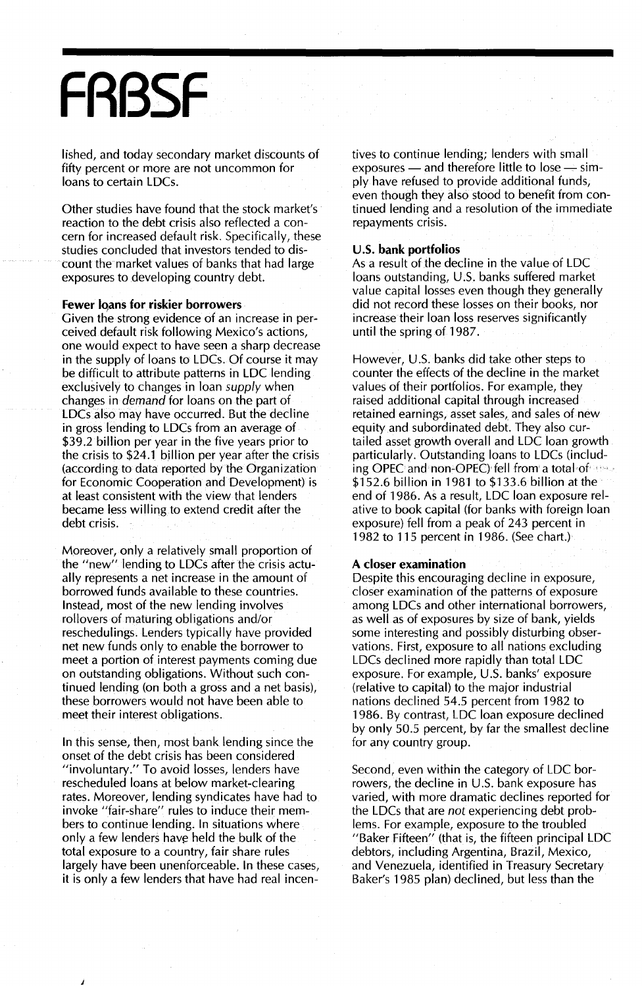## **FABSF**

lished, and today secondary market discounts of fifty percent or more are not uncommon for loans to certain LDCs.

Other studies have found that the stock market's reaction to the debt crisis also reflected a concern for increased default risk. Specifically, these studies concluded that investors tended to discOunt the market values of banks that had large exposures to developing country debt.

#### Fewer loans for riskier borrowers

Given the strong evidence of an increase in perceived default risk following Mexico's actions, one would expect to have seen a sharp decrease in the supply of loans to LDCs. Of course it may be difficult to attribute patterns in LDC lending exclusively to changes in loan *supply* when changes in demand for loans on the part of LDCs also may have occurred. But the decline in gross lending to LDCs from an average of \$39.2 billion per year in the five years prior to the crisis to \$24.1 billion per year after the crisis (according to data reported by the Organization for Economic Cooperation and Development) is at least consistent with the view that lenders became less willing to extend credit after the debt crisis.

Moreover, only a relatively small proportion of the "new" lending to LDCs after the crisis actually represents a net increase in the amount of borrowed funds available to these countries. Instead, most of the new lending involves rollovers of maturing obligations and/or reschedulings. Lenders typically have provided net new funds only to enable the borrower to meet a portion of interest payments coming due on outstanding obligations. Without such continued lending (on both a gross and a net basis), these borrowers would not have been able to meet their interest obligations.

In this sense, then, most bank lending since the onset of the debt crisis has been considered "involuntary." To avoid losses, lenders have rescheduled loans at below market-clearing rates. Moreover, lending syndicates have had to invoke "fair-share" rules to induce their members to continue lending. In situations where only a few lenders have held the bulk of the total exposure to a country, fair share rules largely have been unenforceable. In these cases, it is only a few lenders that have had real incentives to continue lending; lenders with small exposures  $-$  and therefore little to lose  $-$  simply have refused to provide additional funds, even though they also stood to benefit from continued lending and a resolution of the immediate repayments crisis.

#### u.s. bank portfolios

As a result of the decline in the value of LDC loans outstanding, U.S. banks suffered market value capital losses even though they generally did not record these losses on their books, nor increase their loan loss reserves significantly until the spring of 1987.

However, U.s. banks did take other steps to counter the effects of the decline in the market values of their portfolios. For example, they raised additional capital through increased retained earnings, asset sales, and sales of new equity and subordinated debt. They also curtailed asset growth overall and LDC loan growth particularly. Outstanding loans to LDCs (including OPEC and non-OPEC)' fell from a total 'of \$152.6 billion in 1981 to \$133.6 billion at the end of 1986. As a result, LDC loan exposure relative to book capital (for banks with foreign loan exposure) fell from a peak of 243 percent in 1982 to 115 percent in 1986. (See chart.)

#### A closer examination

Despite this encouraging decline in exposure, closer examination of the patterns of exposure among LDCs and other international borrowers, as well as of exposures by size of bank, yields some interesting and possibly disturbing observations. First, exposure to all nations excluding LDCs declined more rapidly than total LDC exposure. For example, U.S. banks' exposure (relative to capital) to the major industrial nations declined 54.5 percent from 1982 to 1986. By contrast, LDC loan exposure declined by only 50.5 percent, by far the smallest decline for any country group.

Second, even within the category of LDC borrowers, the decline in U.S. bank exposure has varied, with more dramatic declines reported for the LDCs that are not experiencing debt problems. For example, exposure to the troubled "Baker Fifteen" (that is, the fifteen principal LDC debtors, including Argentina, Brazil, Mexico, and Venezuela, identified in Treasury Secretary Baker's 1985 plan) declined, but less than the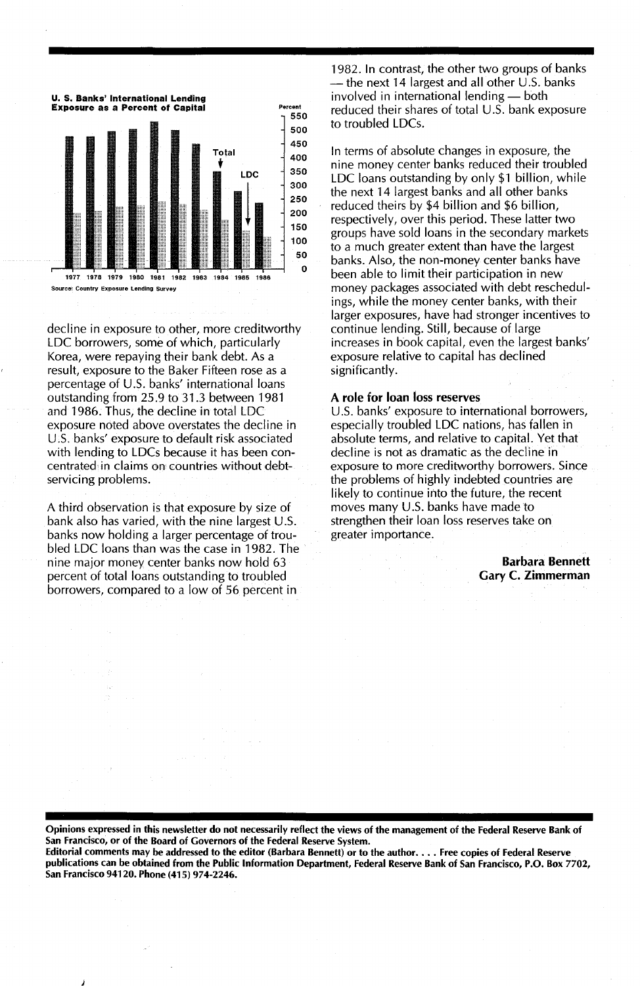

decline in exposure to other, more creditworthy LDC borrowers, some of which, particularly Korea, were repaying their bank debt. As a result, exposure to the Baker Fifteen rose as a percentage of U.s. banks' international loans outstanding from 25.9 to 31.3 between 1981 and 1986. Thus, the decline in total LDC exposure noted above overstates the decline in U.S. banks' exposure to default risk associated with lending to LDCs because it has been concentrated, in claims on countries without debtservicing problems.

A third observation is that exposure by size of bank also has varied, with the nine largest U.s. banks now holding a larger percentage of troubled LDC loans than was the case in 1982. The nine major money center banks now hold 63 percent of total loans outstanding to troubled borrowers, compared to a low of 56 percent in

1982. In contrast, the other two groups of banks - the next 14 largest and all other U.S. banks involved in international lending - both reduced their shares of total  $U.S.$  bank exposure to troubled LDCs.

In terms of absolute changes in exposure, the nine money center banks reduced their troubled LDC loans outstanding by only \$1 billion, while the next 14 largest banks and all other banks reduced theirs by \$4 billion and \$6 billion, respectively, over this period. These latter two groups have sold loans in the secondary markets to a much greater extent than have the largest banks. Also, the non-money center banks have been able to limit their participation in new money packages associated with debt reschedulings, while the money center banks, with their larger exposures, have had stronger incentives to continue lending. Still, because of large increases in book capital, even the largest banks' exposure relative to capital has declined significantly.

#### A role for loan loss reserves

U.S. banks' exposure to international borrowers, especially troubled LDC nations, has fallen in absolute terms, and relative to capital. Yet that decline is not as dramatic as the decline in exposure to more creditworthy borrowers. Since the problems of highly indebted countries are likely to continue into the future, the recent moves many U.S. banks have made to strengthen their loan loss reserves take on greater importance.

> Barbara Bennett Gary C. Zimmerman

Opinions expressed in this newsletter do not necessarily reflect the views of the management of the Federal Reserve Bank of San Francisco, or of the Board of Governors of the Federal Reserve System.

Editorial comments may be addressed to the editor (Barbara Bennett) or to the author.... Free copies of Federal Reserve publications can be obtained from the Public Information Department, Federal Reserve Bank of San Francisco, P.O. Box 7702, San Francisco 94120. Phone (415) 974-2246.